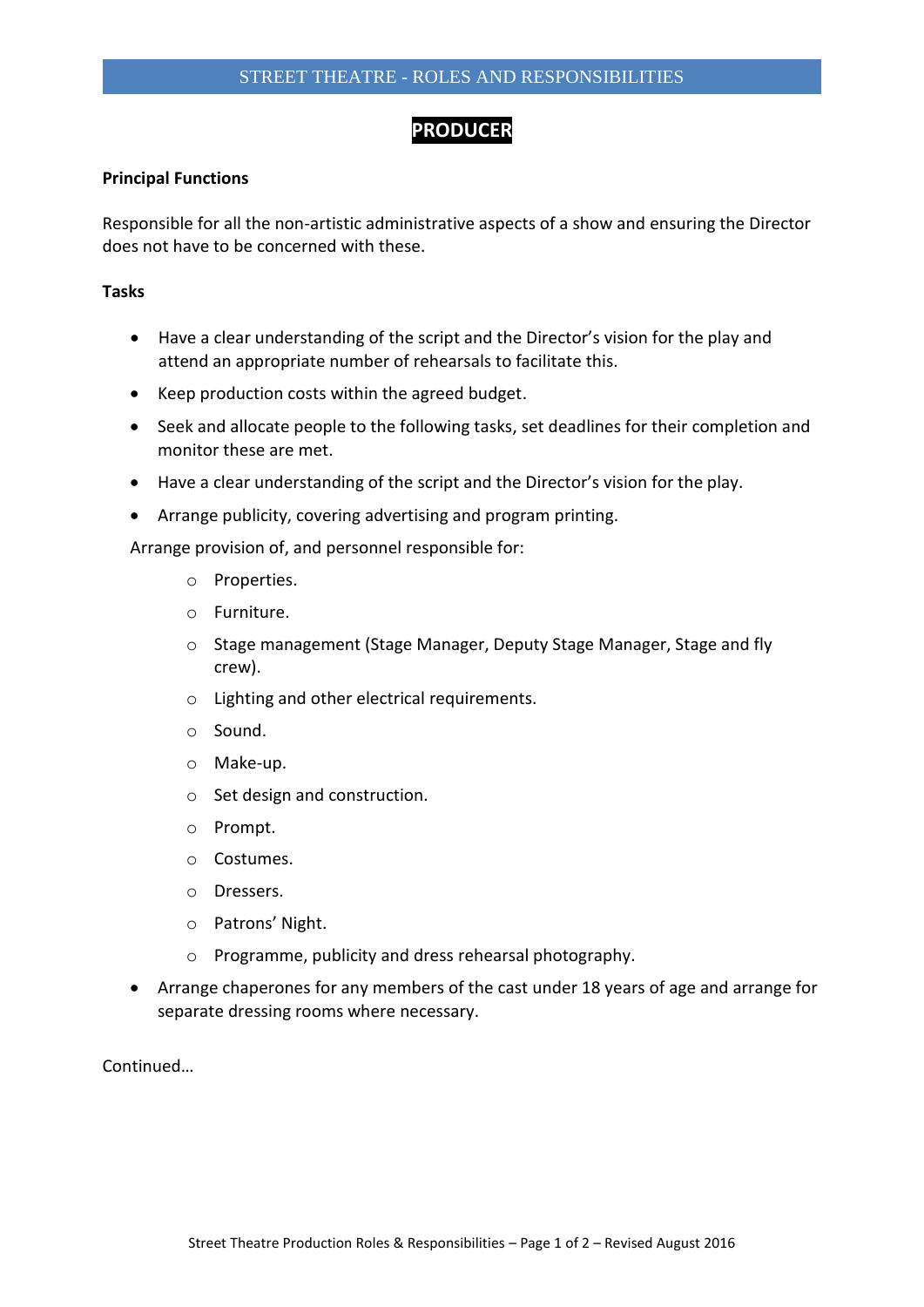## **PRODUCER**

## **Principal Functions**

Responsible for all the non-artistic administrative aspects of a show and ensuring the Director does not have to be concerned with these.

## **Tasks**

- Have a clear understanding of the script and the Director's vision for the play and attend an appropriate number of rehearsals to facilitate this.
- Keep production costs within the agreed budget.
- Seek and allocate people to the following tasks, set deadlines for their completion and monitor these are met.
- Have a clear understanding of the script and the Director's vision for the play.
- Arrange publicity, covering advertising and program printing.

Arrange provision of, and personnel responsible for:

- o Properties.
- o Furniture.
- o Stage management (Stage Manager, Deputy Stage Manager, Stage and fly crew).
- o Lighting and other electrical requirements.
- o Sound.
- o Make-up.
- o Set design and construction.
- o Prompt.
- o Costumes.
- o Dressers.
- o Patrons' Night.
- o Programme, publicity and dress rehearsal photography.
- Arrange chaperones for any members of the cast under 18 years of age and arrange for separate dressing rooms where necessary.

Continued…